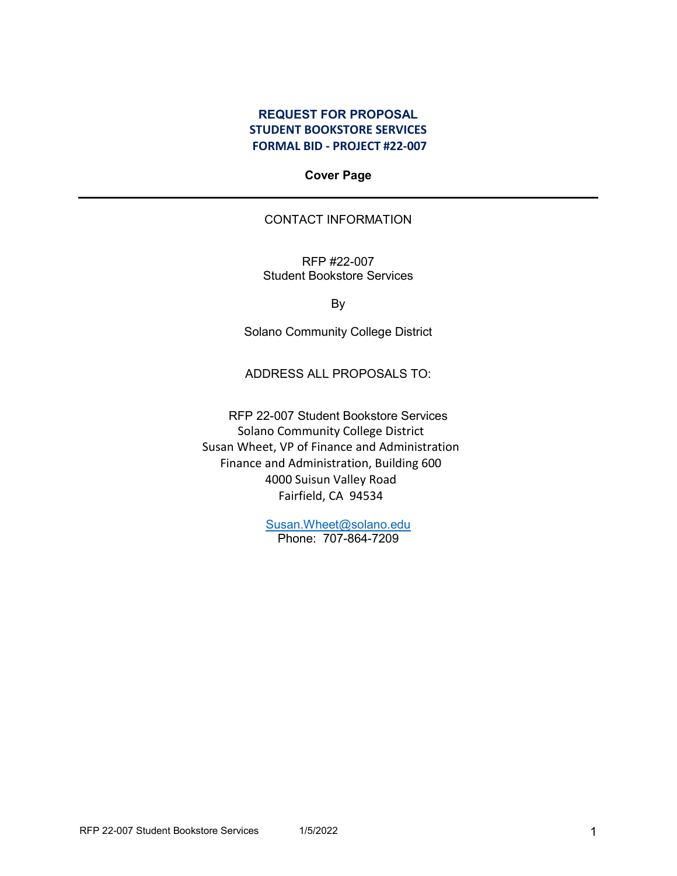### **REQUEST FOR PROPOSAL STUDENT BOOKSTORE SERVICES FORMAL BID - PROJECT #22-007**

**Cover Page**

### CONTACT INFORMATION

RFP #22-007 Student Bookstore Services

By

Solano Community College District

ADDRESS ALL PROPOSALS TO:

RFP 22-007 Student Bookstore Services Solano Community College District Susan Wheet, VP of Finance and Administration Finance and Administration, Building 600 4000 Suisun Valley Road Fairfield, CA 94534

> [Susan.Wheet@solano.edu](mailto:Susan.Wheet@solano.edu) Phone: 707-864-7209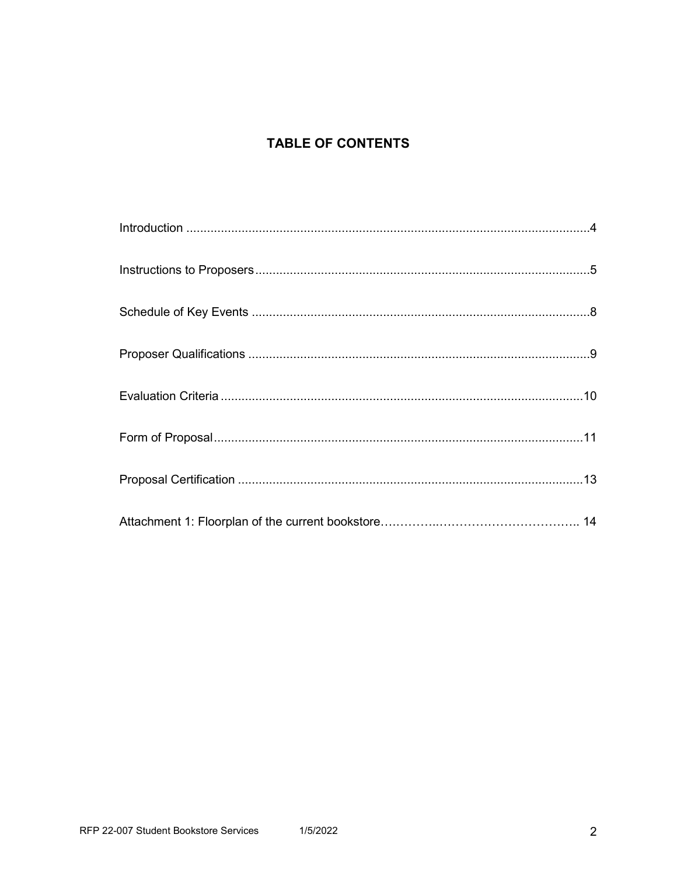# **TABLE OF CONTENTS**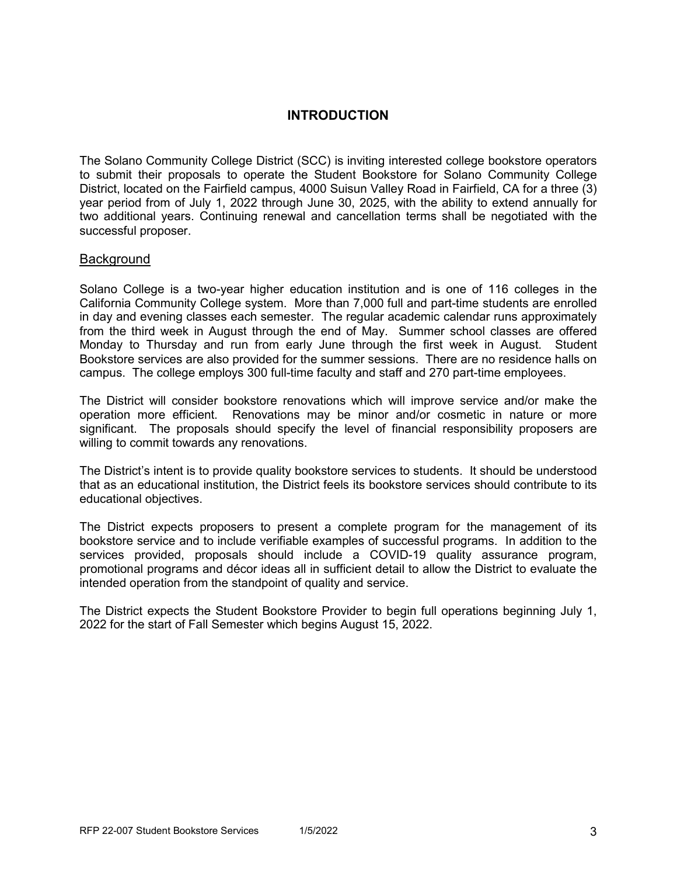## **INTRODUCTION**

The Solano Community College District (SCC) is inviting interested college bookstore operators to submit their proposals to operate the Student Bookstore for Solano Community College District, located on the Fairfield campus, 4000 Suisun Valley Road in Fairfield, CA for a three (3) year period from of July 1, 2022 through June 30, 2025, with the ability to extend annually for two additional years. Continuing renewal and cancellation terms shall be negotiated with the successful proposer.

#### **Background**

Solano College is a two-year higher education institution and is one of 116 colleges in the California Community College system. More than 7,000 full and part-time students are enrolled in day and evening classes each semester. The regular academic calendar runs approximately from the third week in August through the end of May. Summer school classes are offered Monday to Thursday and run from early June through the first week in August. Student Bookstore services are also provided for the summer sessions. There are no residence halls on campus. The college employs 300 full-time faculty and staff and 270 part-time employees.

The District will consider bookstore renovations which will improve service and/or make the operation more efficient. Renovations may be minor and/or cosmetic in nature or more significant. The proposals should specify the level of financial responsibility proposers are willing to commit towards any renovations.

The District's intent is to provide quality bookstore services to students. It should be understood that as an educational institution, the District feels its bookstore services should contribute to its educational objectives.

The District expects proposers to present a complete program for the management of its bookstore service and to include verifiable examples of successful programs. In addition to the services provided, proposals should include a COVID-19 quality assurance program, promotional programs and décor ideas all in sufficient detail to allow the District to evaluate the intended operation from the standpoint of quality and service.

The District expects the Student Bookstore Provider to begin full operations beginning July 1, 2022 for the start of Fall Semester which begins August 15, 2022.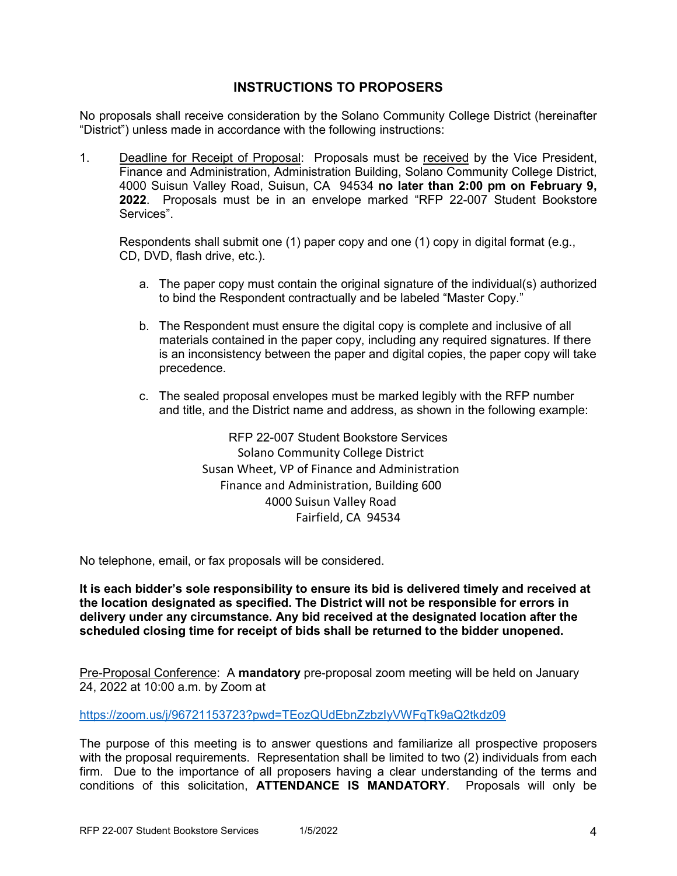## **INSTRUCTIONS TO PROPOSERS**

No proposals shall receive consideration by the Solano Community College District (hereinafter "District") unless made in accordance with the following instructions:

1. Deadline for Receipt of Proposal: Proposals must be received by the Vice President, Finance and Administration, Administration Building, Solano Community College District, 4000 Suisun Valley Road, Suisun, CA 94534 **no later than 2:00 pm on February 9, 2022**. Proposals must be in an envelope marked "RFP 22-007 Student Bookstore Services".

Respondents shall submit one (1) paper copy and one (1) copy in digital format (e.g., CD, DVD, flash drive, etc.).

- a. The paper copy must contain the original signature of the individual(s) authorized to bind the Respondent contractually and be labeled "Master Copy."
- b. The Respondent must ensure the digital copy is complete and inclusive of all materials contained in the paper copy, including any required signatures. If there is an inconsistency between the paper and digital copies, the paper copy will take precedence.
- c. The sealed proposal envelopes must be marked legibly with the RFP number and title, and the District name and address, as shown in the following example:

RFP 22-007 Student Bookstore Services Solano Community College District Susan Wheet, VP of Finance and Administration Finance and Administration, Building 600 4000 Suisun Valley Road Fairfield, CA 94534

No telephone, email, or fax proposals will be considered.

**It is each bidder's sole responsibility to ensure its bid is delivered timely and received at the location designated as specified. The District will not be responsible for errors in delivery under any circumstance. Any bid received at the designated location after the scheduled closing time for receipt of bids shall be returned to the bidder unopened.**

Pre-Proposal Conference: A **mandatory** pre-proposal zoom meeting will be held on January 24, 2022 at 10:00 a.m. by Zoom at

<https://zoom.us/j/96721153723?pwd=TEozQUdEbnZzbzIyVWFqTk9aQ2tkdz09>

The purpose of this meeting is to answer questions and familiarize all prospective proposers with the proposal requirements. Representation shall be limited to two (2) individuals from each firm. Due to the importance of all proposers having a clear understanding of the terms and conditions of this solicitation, **ATTENDANCE IS MANDATORY**. Proposals will only be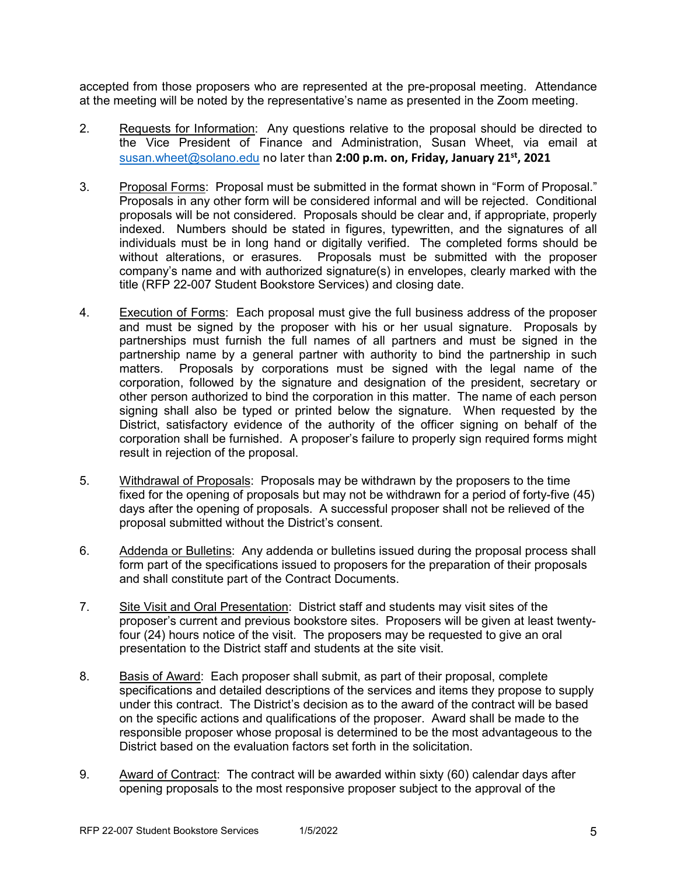accepted from those proposers who are represented at the pre-proposal meeting. Attendance at the meeting will be noted by the representative's name as presented in the Zoom meeting.

- 2. Requests for Information: Any questions relative to the proposal should be directed to the Vice President of Finance and Administration, Susan Wheet, via email at [susan.wheet@solano.edu](mailto:susan.wheet@solano.edu) no later than **2:00 p.m. on, Friday, January 21st, 2021**
- 3. Proposal Forms: Proposal must be submitted in the format shown in "Form of Proposal." Proposals in any other form will be considered informal and will be rejected. Conditional proposals will be not considered. Proposals should be clear and, if appropriate, properly indexed. Numbers should be stated in figures, typewritten, and the signatures of all individuals must be in long hand or digitally verified. The completed forms should be without alterations, or erasures. Proposals must be submitted with the proposer company's name and with authorized signature(s) in envelopes, clearly marked with the title (RFP 22-007 Student Bookstore Services) and closing date.
- 4. Execution of Forms: Each proposal must give the full business address of the proposer and must be signed by the proposer with his or her usual signature. Proposals by partnerships must furnish the full names of all partners and must be signed in the partnership name by a general partner with authority to bind the partnership in such matters. Proposals by corporations must be signed with the legal name of the corporation, followed by the signature and designation of the president, secretary or other person authorized to bind the corporation in this matter. The name of each person signing shall also be typed or printed below the signature. When requested by the District, satisfactory evidence of the authority of the officer signing on behalf of the corporation shall be furnished. A proposer's failure to properly sign required forms might result in rejection of the proposal.
- 5. Withdrawal of Proposals: Proposals may be withdrawn by the proposers to the time fixed for the opening of proposals but may not be withdrawn for a period of forty-five (45) days after the opening of proposals. A successful proposer shall not be relieved of the proposal submitted without the District's consent.
- 6. Addenda or Bulletins: Any addenda or bulletins issued during the proposal process shall form part of the specifications issued to proposers for the preparation of their proposals and shall constitute part of the Contract Documents.
- 7. Site Visit and Oral Presentation: District staff and students may visit sites of the proposer's current and previous bookstore sites. Proposers will be given at least twentyfour (24) hours notice of the visit. The proposers may be requested to give an oral presentation to the District staff and students at the site visit.
- 8. Basis of Award: Each proposer shall submit, as part of their proposal, complete specifications and detailed descriptions of the services and items they propose to supply under this contract. The District's decision as to the award of the contract will be based on the specific actions and qualifications of the proposer. Award shall be made to the responsible proposer whose proposal is determined to be the most advantageous to the District based on the evaluation factors set forth in the solicitation.
- 9. Award of Contract: The contract will be awarded within sixty (60) calendar days after opening proposals to the most responsive proposer subject to the approval of the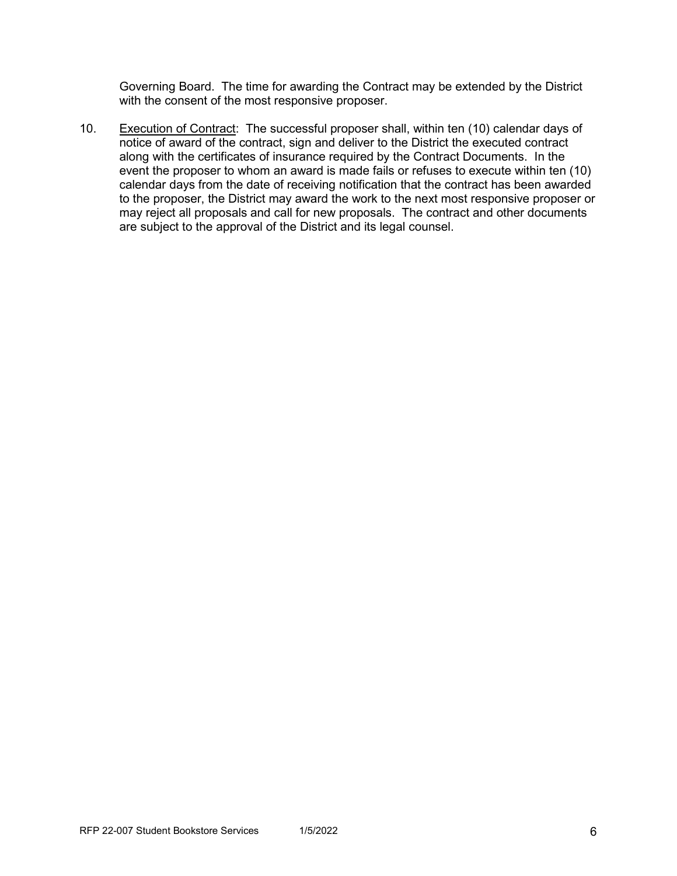Governing Board. The time for awarding the Contract may be extended by the District with the consent of the most responsive proposer.

10. Execution of Contract: The successful proposer shall, within ten (10) calendar days of notice of award of the contract, sign and deliver to the District the executed contract along with the certificates of insurance required by the Contract Documents. In the event the proposer to whom an award is made fails or refuses to execute within ten (10) calendar days from the date of receiving notification that the contract has been awarded to the proposer, the District may award the work to the next most responsive proposer or may reject all proposals and call for new proposals. The contract and other documents are subject to the approval of the District and its legal counsel.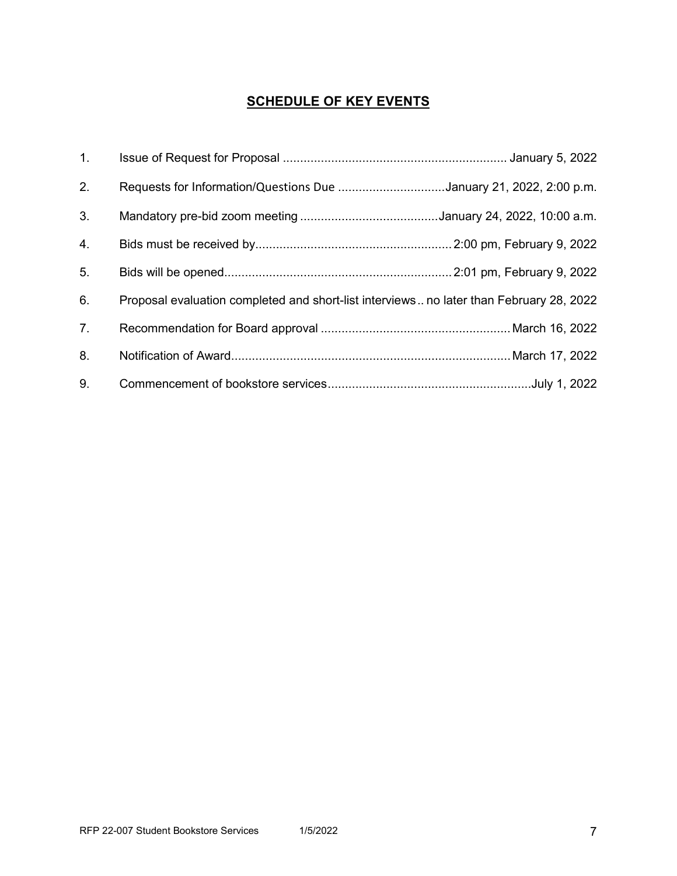# **SCHEDULE OF KEY EVENTS**

| 1. |                                                                                         |
|----|-----------------------------------------------------------------------------------------|
| 2. | Requests for Information/Questions Due January 21, 2022, 2:00 p.m.                      |
| 3. |                                                                                         |
| 4. |                                                                                         |
| 5. |                                                                                         |
| 6. | Proposal evaluation completed and short-list interviews no later than February 28, 2022 |
| 7. |                                                                                         |
| 8. |                                                                                         |
| 9. |                                                                                         |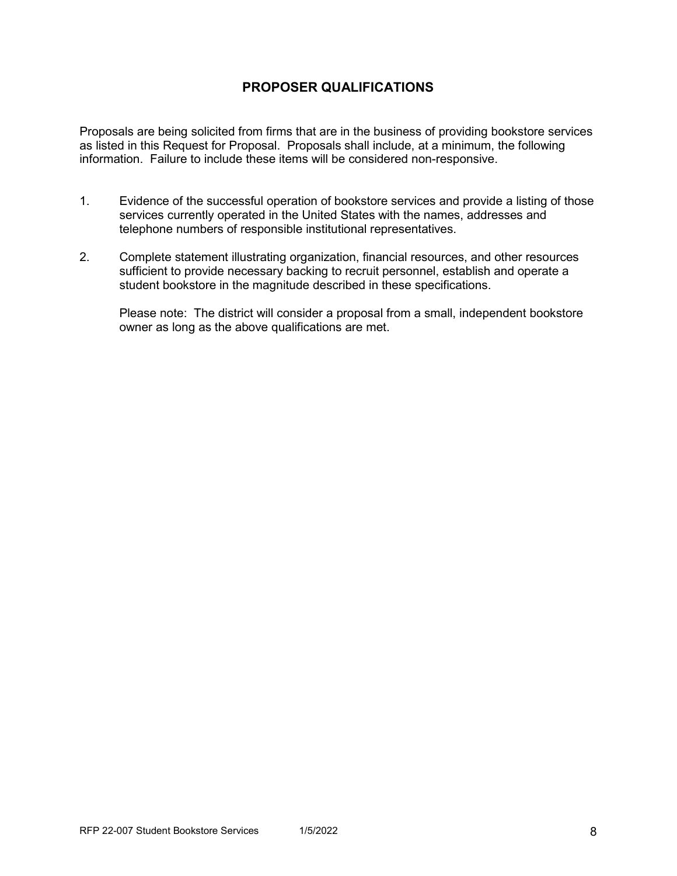## **PROPOSER QUALIFICATIONS**

Proposals are being solicited from firms that are in the business of providing bookstore services as listed in this Request for Proposal. Proposals shall include, at a minimum, the following information. Failure to include these items will be considered non-responsive.

- 1. Evidence of the successful operation of bookstore services and provide a listing of those services currently operated in the United States with the names, addresses and telephone numbers of responsible institutional representatives.
- 2. Complete statement illustrating organization, financial resources, and other resources sufficient to provide necessary backing to recruit personnel, establish and operate a student bookstore in the magnitude described in these specifications.

Please note: The district will consider a proposal from a small, independent bookstore owner as long as the above qualifications are met.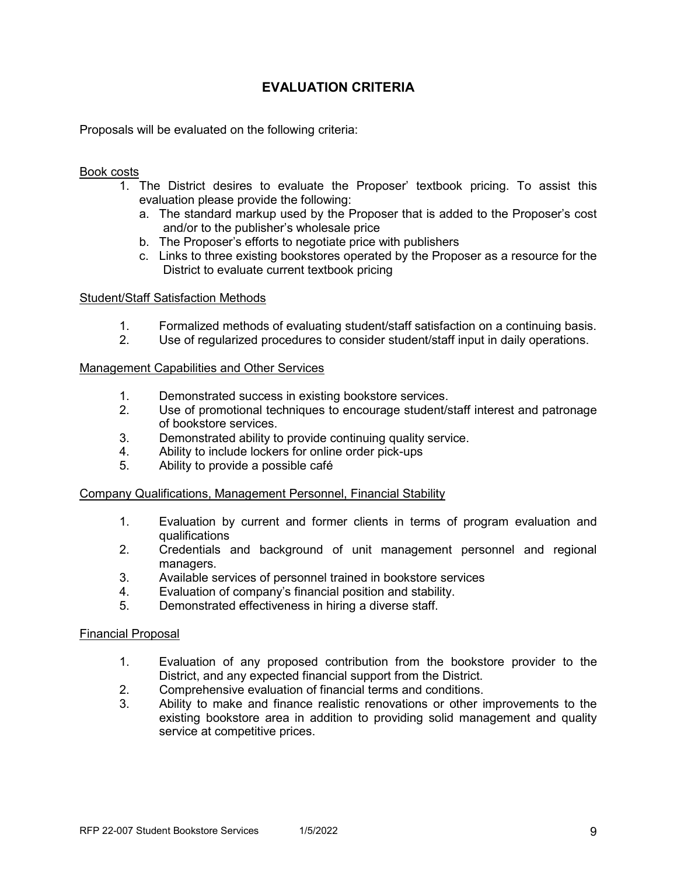## **EVALUATION CRITERIA**

Proposals will be evaluated on the following criteria:

#### Book costs

- 1. The District desires to evaluate the Proposer' textbook pricing. To assist this evaluation please provide the following:
	- a. The standard markup used by the Proposer that is added to the Proposer's cost and/or to the publisher's wholesale price
	- b. The Proposer's efforts to negotiate price with publishers
	- c. Links to three existing bookstores operated by the Proposer as a resource for the District to evaluate current textbook pricing

#### Student/Staff Satisfaction Methods

- 1. Formalized methods of evaluating student/staff satisfaction on a continuing basis.
- 2. Use of regularized procedures to consider student/staff input in daily operations.

#### Management Capabilities and Other Services

- 1. Demonstrated success in existing bookstore services.
- 2. Use of promotional techniques to encourage student/staff interest and patronage of bookstore services.
- 3. Demonstrated ability to provide continuing quality service.
- 4. Ability to include lockers for online order pick-ups
- 5. Ability to provide a possible café

#### Company Qualifications, Management Personnel, Financial Stability

- 1. Evaluation by current and former clients in terms of program evaluation and qualifications
- 2. Credentials and background of unit management personnel and regional managers.
- 3. Available services of personnel trained in bookstore services<br>4 Evaluation of company's financial position and stability
- Evaluation of company's financial position and stability.
- 5. Demonstrated effectiveness in hiring a diverse staff.

#### Financial Proposal

- 1. Evaluation of any proposed contribution from the bookstore provider to the District, and any expected financial support from the District.
- 2. Comprehensive evaluation of financial terms and conditions.
- 3. Ability to make and finance realistic renovations or other improvements to the existing bookstore area in addition to providing solid management and quality service at competitive prices.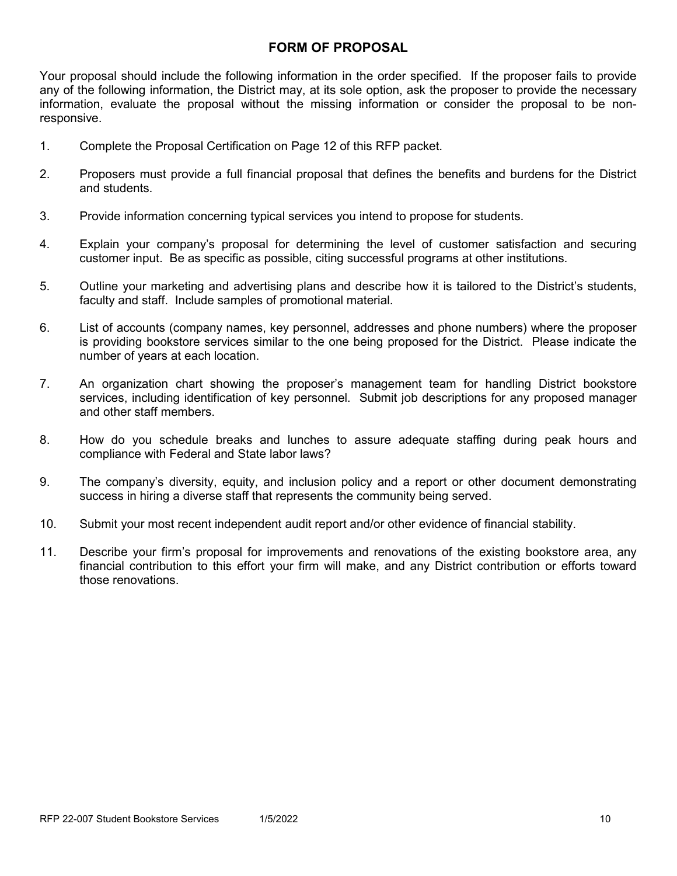### **FORM OF PROPOSAL**

Your proposal should include the following information in the order specified. If the proposer fails to provide any of the following information, the District may, at its sole option, ask the proposer to provide the necessary information, evaluate the proposal without the missing information or consider the proposal to be nonresponsive.

- 1. Complete the Proposal Certification on Page 12 of this RFP packet.
- 2. Proposers must provide a full financial proposal that defines the benefits and burdens for the District and students.
- 3. Provide information concerning typical services you intend to propose for students.
- 4. Explain your company's proposal for determining the level of customer satisfaction and securing customer input. Be as specific as possible, citing successful programs at other institutions.
- 5. Outline your marketing and advertising plans and describe how it is tailored to the District's students, faculty and staff. Include samples of promotional material.
- 6. List of accounts (company names, key personnel, addresses and phone numbers) where the proposer is providing bookstore services similar to the one being proposed for the District. Please indicate the number of years at each location.
- 7. An organization chart showing the proposer's management team for handling District bookstore services, including identification of key personnel. Submit job descriptions for any proposed manager and other staff members.
- 8. How do you schedule breaks and lunches to assure adequate staffing during peak hours and compliance with Federal and State labor laws?
- 9. The company's diversity, equity, and inclusion policy and a report or other document demonstrating success in hiring a diverse staff that represents the community being served.
- 10. Submit your most recent independent audit report and/or other evidence of financial stability.
- 11. Describe your firm's proposal for improvements and renovations of the existing bookstore area, any financial contribution to this effort your firm will make, and any District contribution or efforts toward those renovations.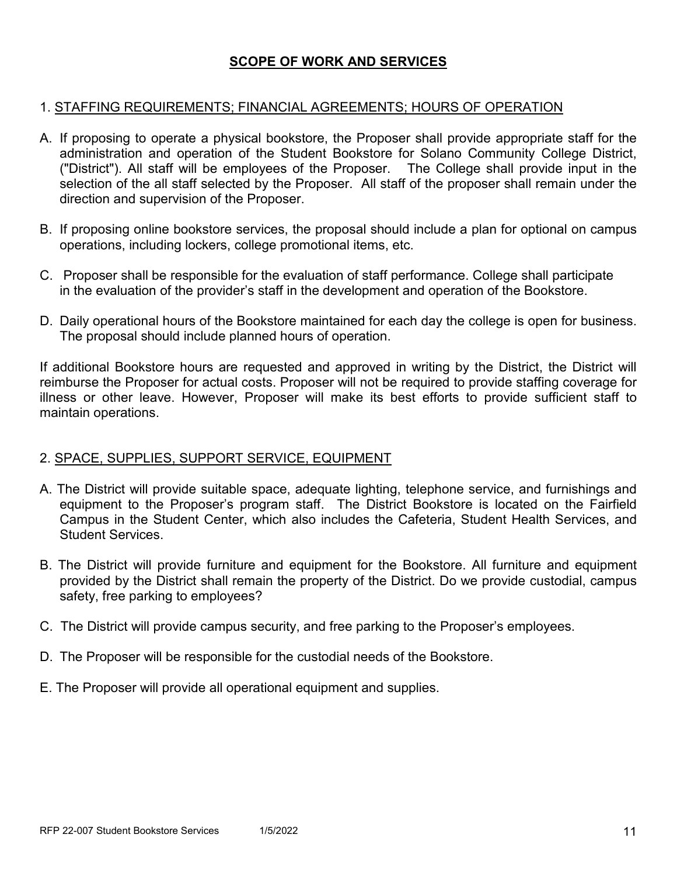## **SCOPE OF WORK AND SERVICES**

### 1. STAFFING REQUIREMENTS; FINANCIAL AGREEMENTS; HOURS OF OPERATION

- A. If proposing to operate a physical bookstore, the Proposer shall provide appropriate staff for the administration and operation of the Student Bookstore for Solano Community College District, ("District"). All staff will be employees of the Proposer. The College shall provide input in the selection of the all staff selected by the Proposer. All staff of the proposer shall remain under the direction and supervision of the Proposer.
- B. If proposing online bookstore services, the proposal should include a plan for optional on campus operations, including lockers, college promotional items, etc.
- C. Proposer shall be responsible for the evaluation of staff performance. College shall participate in the evaluation of the provider's staff in the development and operation of the Bookstore.
- D. Daily operational hours of the Bookstore maintained for each day the college is open for business. The proposal should include planned hours of operation.

If additional Bookstore hours are requested and approved in writing by the District, the District will reimburse the Proposer for actual costs. Proposer will not be required to provide staffing coverage for illness or other leave. However, Proposer will make its best efforts to provide sufficient staff to maintain operations.

## 2. SPACE, SUPPLIES, SUPPORT SERVICE, EQUIPMENT

- A. The District will provide suitable space, adequate lighting, telephone service, and furnishings and equipment to the Proposer's program staff. The District Bookstore is located on the Fairfield Campus in the Student Center, which also includes the Cafeteria, Student Health Services, and Student Services.
- B. The District will provide furniture and equipment for the Bookstore. All furniture and equipment provided by the District shall remain the property of the District. Do we provide custodial, campus safety, free parking to employees?
- C. The District will provide campus security, and free parking to the Proposer's employees.
- D. The Proposer will be responsible for the custodial needs of the Bookstore.
- E. The Proposer will provide all operational equipment and supplies.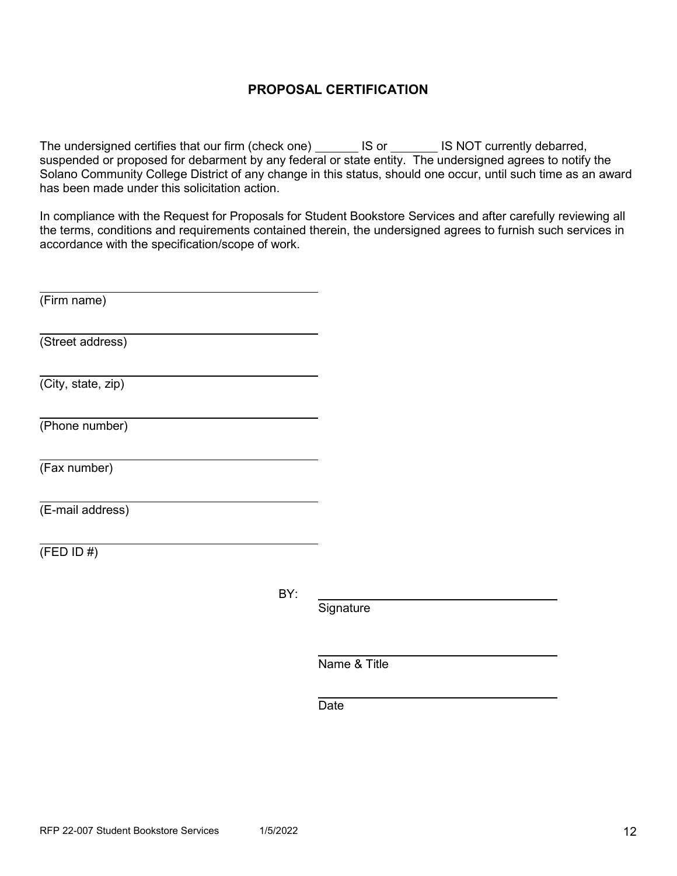## **PROPOSAL CERTIFICATION**

The undersigned certifies that our firm (check one) \_\_\_\_\_\_\_ IS or \_\_\_\_\_\_\_ IS NOT currently debarred, suspended or proposed for debarment by any federal or state entity. The undersigned agrees to notify the Solano Community College District of any change in this status, should one occur, until such time as an award has been made under this solicitation action.

In compliance with the Request for Proposals for Student Bookstore Services and after carefully reviewing all the terms, conditions and requirements contained therein, the undersigned agrees to furnish such services in accordance with the specification/scope of work.

| (Firm name)        |  |
|--------------------|--|
| (Street address)   |  |
| (City, state, zip) |  |
| (Phone number)     |  |
| (Fax number)       |  |
| (E-mail address)   |  |
| (FED ID #)         |  |

BY:

**Signature** 

Name & Title

Date